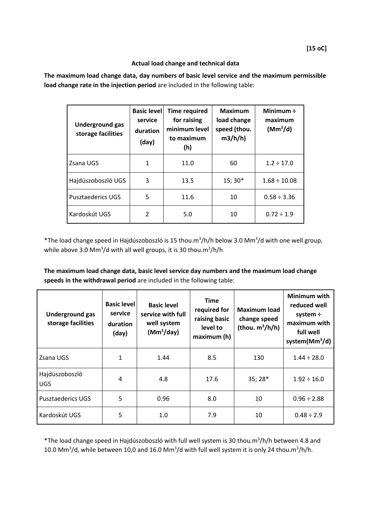## **[15 oC]**

## **Actual load change and technical data**

**The maximum load change data, day numbers of basic level service and the maximum permissible load change rate in the injection period** are included in the following table:

| <b>Underground gas</b><br>storage facilities | <b>Basic level</b><br>service<br>duration<br>(day) | <b>Time required</b><br>for raising<br>minimum level<br>to maximum<br>(h) | <b>Maximum</b><br>load change<br>speed (thou.<br>m3/h/h | Minimum $\div$<br>maximum<br>(Mm <sup>3</sup> /d) |
|----------------------------------------------|----------------------------------------------------|---------------------------------------------------------------------------|---------------------------------------------------------|---------------------------------------------------|
| Zsana UGS                                    | 1                                                  | 11.0                                                                      | 60                                                      | $1.2 \div 17.0$                                   |
| Hajdúszoboszló UGS                           | 3                                                  | 13.5                                                                      | 15; 30*                                                 | $1.68 \div 10.08$                                 |
| <b>Pusztaederics UGS</b>                     | 5                                                  | 11.6                                                                      | 10                                                      | $0.58 \div 3.36$                                  |
| Kardoskút UGS                                | 2                                                  | 5.0                                                                       | 10                                                      | $0.72 \div 1.9$                                   |

\*The load change speed in Hajdúszoboszló is 15 thou.m<sup>3</sup>/h/h below 3.0 Mm<sup>3</sup>/d with one well group, while above 3.0 Mm<sup>3</sup>/d with all well groups, it is 30 thou.m<sup>3</sup>/h/h

**The maximum load change data, basic level service day numbers and the maximum load change speeds in the withdrawal period** are included in the following table:

| <b>Underground gas</b><br>storage facilities | <b>Basic level</b><br>service<br>duration<br>(day) | <b>Basic level</b><br>service with full<br>well system<br>(Mm <sup>3</sup> /day) | <b>Time</b><br>required for<br>raising basic<br>level to<br>maximum (h) | <b>Maximum load</b><br>change speed<br>(thou. $m^3/h/h$ ) | Minimum with<br>reduced well<br>system $\div$<br>maximum with<br>full well<br>system $(Mm3/d)$ |
|----------------------------------------------|----------------------------------------------------|----------------------------------------------------------------------------------|-------------------------------------------------------------------------|-----------------------------------------------------------|------------------------------------------------------------------------------------------------|
| Zsana UGS                                    | 1                                                  | 1.44                                                                             | 8.5                                                                     | 130                                                       | $1.44 \div 28.0$                                                                               |
| Hajdúszoboszló<br><b>UGS</b>                 | 4                                                  | 4.8                                                                              | 17.6                                                                    | 35; 28*                                                   | $1.92 \div 16.0$                                                                               |
| <b>Pusztaederics UGS</b>                     | 5                                                  | 0.96                                                                             | 8.0                                                                     | 10                                                        | $0.96 \div 2.88$                                                                               |
| Kardoskút UGS                                | 5                                                  | 1.0                                                                              | 7.9                                                                     | 10                                                        | $0.48 \div 2.9$                                                                                |

\*The load change speed in Hajdúszoboszló with full well system is 30 thou.m<sup>3</sup> /h/h between 4.8 and 10.0 Mm<sup>3</sup>/d, while between 10,0 and 16.0 Mm<sup>3</sup>/d with full well system it is only 24 thou.m<sup>3</sup>/h/h.